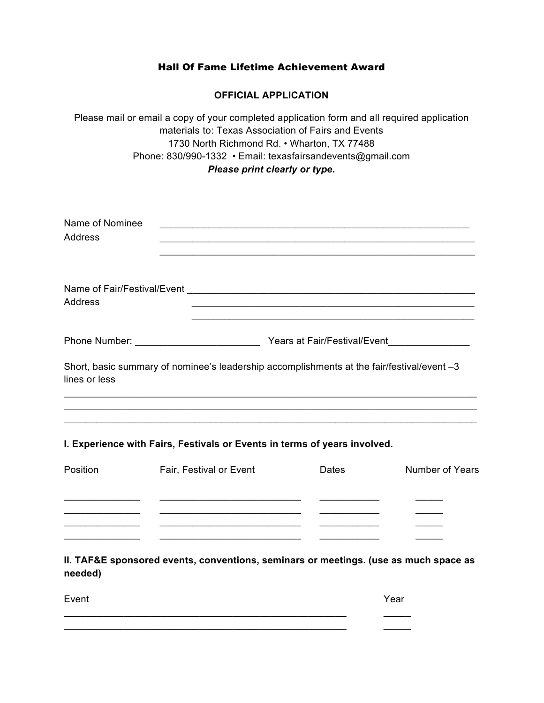## Hall Of Fame Lifetime Achievement Award

### **OFFICIAL APPLICATION**

Please mail or email a copy of your completed application form and all required application materials to: Texas Association of Fairs and Events 1730 North Richmond Rd. • Wharton, TX 77488 Phone: 830/990-1332 • Email: texasfairsandevents@gmail.com *Please print clearly or type.* 

| Name of Nominee<br>Address |                                                                                            |
|----------------------------|--------------------------------------------------------------------------------------------|
| <b>Address</b>             |                                                                                            |
|                            | Years at Fair/Festival/Event                                                               |
| lines or less              | Short, basic summary of nominee's leadership accomplishments at the fair/festival/event -3 |
|                            |                                                                                            |

#### **I. Experience with Fairs, Festivals or Events in terms of years involved.**

 $\frac{1}{2}$  ,  $\frac{1}{2}$  ,  $\frac{1}{2}$  ,  $\frac{1}{2}$  ,  $\frac{1}{2}$  ,  $\frac{1}{2}$  ,  $\frac{1}{2}$  ,  $\frac{1}{2}$  ,  $\frac{1}{2}$  ,  $\frac{1}{2}$  ,  $\frac{1}{2}$  ,  $\frac{1}{2}$  ,  $\frac{1}{2}$  ,  $\frac{1}{2}$  ,  $\frac{1}{2}$  ,  $\frac{1}{2}$  ,  $\frac{1}{2}$  ,  $\frac{1}{2}$  ,  $\frac{1$  $\_$ 

| Position | Fair, Festival or Event | Dates | <b>Number of Years</b> |
|----------|-------------------------|-------|------------------------|
|          |                         |       |                        |
|          |                         |       |                        |
|          |                         |       |                        |
|          |                         |       |                        |

\_\_\_\_\_\_\_\_\_\_\_\_\_\_\_\_\_\_\_\_\_\_\_\_\_\_\_\_\_\_\_\_\_\_\_\_\_\_\_\_\_\_\_\_\_\_\_\_\_\_\_\_\_\_\_\_\_\_\_\_\_\_\_\_\_\_\_\_\_\_\_\_\_\_\_\_

**II. TAF&E sponsored events, conventions, seminars or meetings. (use as much space as needed)**

Event **Exercise Server According to the Contract Contract Contract Contract Contract Contract Contract Contract Contract Contract Contract Contract Contract Contract Contract Contract Contract Contract Contract Contract Co**